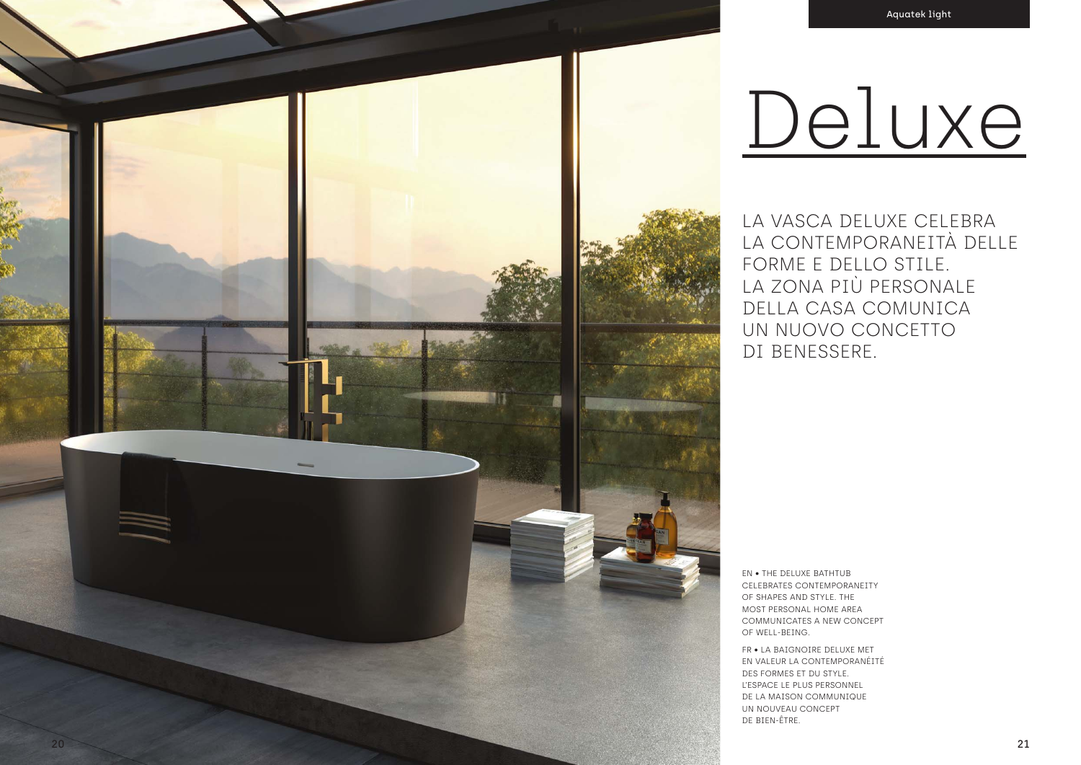LA VASCA DELUXE CELEBRA LA CONTEMPORANEITÀ DELLE FORME E DELLO STILE. LA ZONA PIÙ PERSONALE DELLA CASA COMUNICA UN NUOVO CONCETTO DI BENESSERE.

EN • THE DELUXE BATHTUB CELEBRATES CONTEMPORANEITY OF SHAPES AND STYLE. THE MOST PERSONAL HOME AREA COMMUNICATES A NEW CONCEPT OF WELL-BEING.

FR • LA BAIGNOIRE DELUXE MET EN VALEUR LA CONTEMPORANÉITÉ DES FORMES ET DU STYLE. L'ESPACE LE PLUS PERSONNEL DE LA MAISON COMMUNIQUE UN NOUVEAU CONCEPT DE BIEN-ÊTRE.

## Deluxe